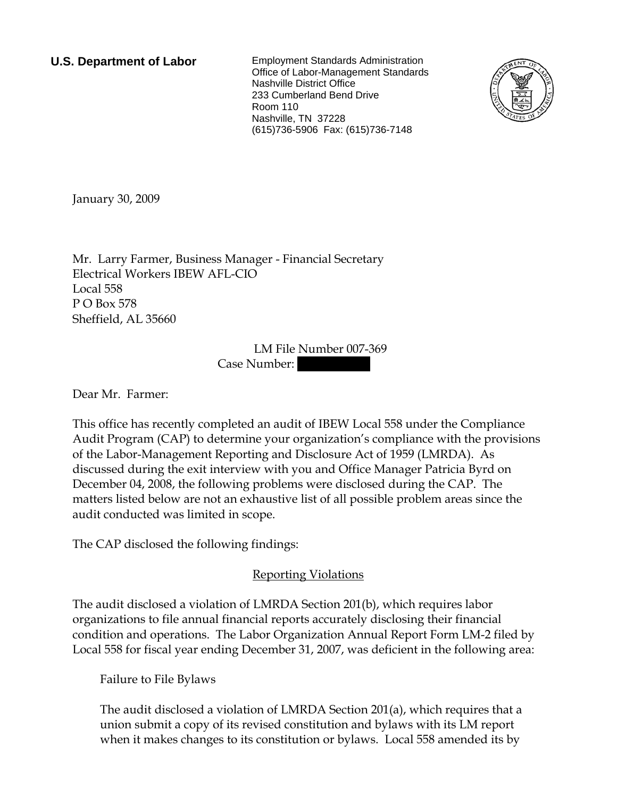**U.S. Department of Labor** Employment Standards Administration Office of Labor-Management Standards Nashville District Office 233 Cumberland Bend Drive Room 110 Nashville, TN 37228 (615)736-5906 Fax: (615)736-7148



<span id="page-0-0"></span>January 30, 2009

[Mr. Larry](#page-0-0) [Farmer](#page-0-0), [Business Manager - Financial Secretary](#page-0-0)  [Electrical Workers IBEW AFL-CIO](#page-0-0)  [Local 558](#page-0-0)  [P O Box 578](#page-0-0)  [Sheffield, AL 35660](#page-0-0) 

> LM File Number [007-369](#page-0-0)  Case Number:

Dear [Mr. Farmer](#page-0-0):

This office has recently completed an audit of [IBEW Local 558](#page-0-0) under the Compliance Audit Program (CAP) to determine your organization's compliance with the provisions of the Labor-Management Reporting and Disclosure Act of 1959 (LMRDA). As discussed during the exit interview with [you and Office Manager Patricia Byrd](#page-0-0) on [December 04, 2008,](#page-0-0) the following problems were disclosed during the CAP. The matters listed below are not an exhaustive list of all possible problem areas since the audit conducted was limited in scope.

The CAP disclosed the following findings:

## Reporting Violations

The audit disclosed a violation of LMRDA Section 201(b), which requires labor organizations to file annual financial reports accurately disclosing their financial condition and operations. The Labor Organization Annual Report Form LM-2 filed by Local 558 for fiscal year ending December 31, 2007, was deficient in the following area:

Failure to File Bylaws

The audit disclosed a violation of LMRDA Section 201(a), which requires that a union submit a copy of its revised constitution and bylaws with its LM report when it makes changes to its constitution or bylaws. Local 558 amended its by